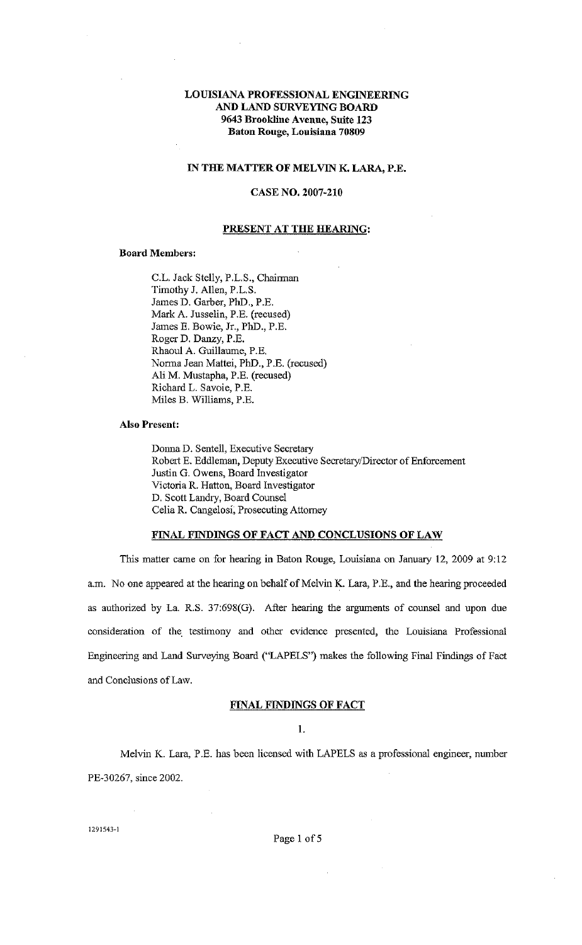# LOUISIANA PROFESSIONAL ENGINEERING AND LAND SURVEYING BOARD 9643 Brookline Avenue, Suite 123 Baton Rouge, Louisiana 70809

#### IN THE MATTER OF MELVIN K. LARA, P.E.

## CASE NO. 2007-210

### PRESENT AT THE HEARING:

#### Board Members:

C.L. Jack Stelly, P.L.S., Chairman Timothy J. Allen, P.L.S. James D. Garber, PhD., P.E. Mark A. Jusselin, P.E. (recused) James E. Bowie, Jr., PhD., P.E. Roger D. Danzy, P.E. Rhaoul A. Guillaume, P.E. Norma Jean Mattei, PhD., P.E. (recused) Ali M. Mustapha, P.E. (recused) Richard L. Savoie, P.E. Miles B. Williams, P .E.

### Also Present:

Donna D. Sentell, Executive Secretary Robert E. Eddleman, Deputy Executive Secretary/Director of Enforcement Justin G. Owens, Board Investigator Victoria R. Hatton, Board Investigator D. Scott Landry, Board Counsel Celia R. Cangelosi, Prosecuting Attorney

## FINAL FINDINGS OF FACT AND CONCLUSIONS OF LAW

This matter came on for hearing in Baton Rouge, Louisiana on January 12, 2009 at 9:12 a.m. No one appeared at the hearing on behalf of Melvin K. Lara, P.E., and the hearing proceeded as authorized by La. R.S. 37:698(G). After hearing the arguments of counsel and upon due consideration of the. testimony and other evidence presented, the Louisiana Professional Engineering and Land Surveying Board ("LAPELS'') makes the following Final Findings of Fact and Conclusions of Law.

#### FINAL FINDINGS OF FACT

I.

Melvin K. Lara, P .E. has been licensed with LAPELS as a professional engineer, number PE-30267, since 2002.

1291543~1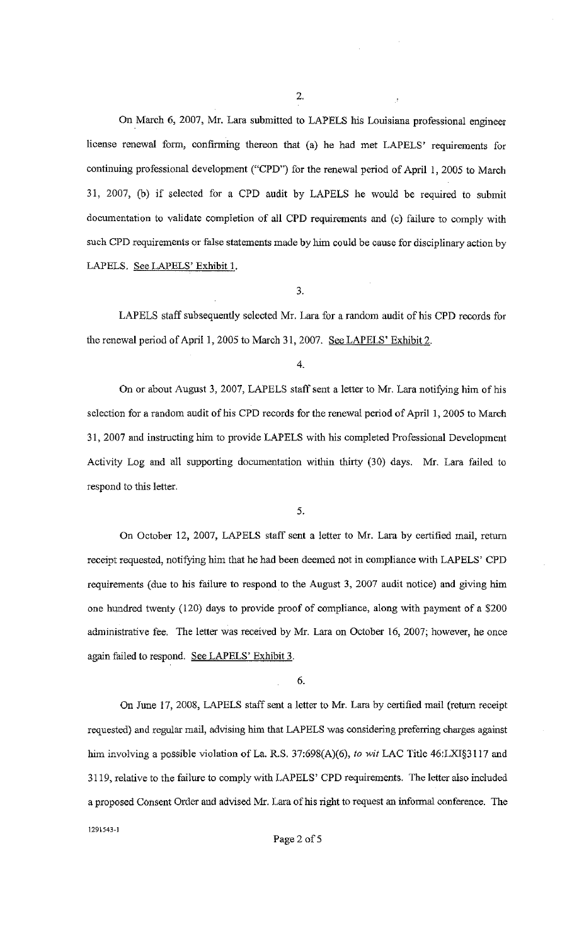On March 6, 2007, Mr. Lara submitted to LAPELS his Louisiana professional engineer license renewal fonn, confinning thereon that (a) he had met LAPELS' requirements for continuing professional development ("CPD") for the renewal period of April 1, 2005 to March 31, 2007, (b) if selected for a CPD audit by LAPELS he would be required to submit documentation to validate completion of all CPD requirements and (c) failure to comply with such CPD requirements or false statements made by him could be cause for disciplinary action by LAPELS. See LAPELS' Exhibit 1.

3.

LAPELS staff subsequently selected Mr. Lara for a random audit of his CPD records for the renewal period of April 1, 2005 to March 31, 2007. See LAPELS' Exhibit 2.

On or about August 3, 2007, LAPELS staff sent a letter to Mr. Lara notifying him of his selection for a random audit of his CPD records for the renewal period of April 1, 2005 to March 31, 2007 and instructing him to provide LAPELS with his completed Professional Development Activity Log and all supporting documentation within thirty (30) days. Mr. Lara failed to respond to this letter.

5.

On October 12, 2007, LAPELS staff sent a letter to Mr. Lara by certified mail, return receipt requested, notifying him that he had been deemed not in compliance with LAPELS' CPD requirements (due to his failure to respond to the August 3, 2007 audit notice) and giving him one hundred twenty (120) days to provide proof of compliance, along with payment of a \$200 administrative fee. The letter was received by Mr. Lara on October 16, 2007; however, he once again failed to respond. See LAPELS' Exhibit 3.

6.

On June 17, 2008, LAPELS staff sent a letter to Mr. Lara by certified mail (return receipt requested) and regular mail, advising him that LAPELS was considering preferring charges against him involving a possible violation of La. R.S. 37:698(A)(6), *to wit* LAC Title 46:LXI§3117 and 3119, relative to the failure to comply with LAPELS' CPD requirements. The letter also included a proposed Consent Order and advised Mr. Lara of his right to request an informal conference. The

**1291543-1** 

<sup>4.</sup>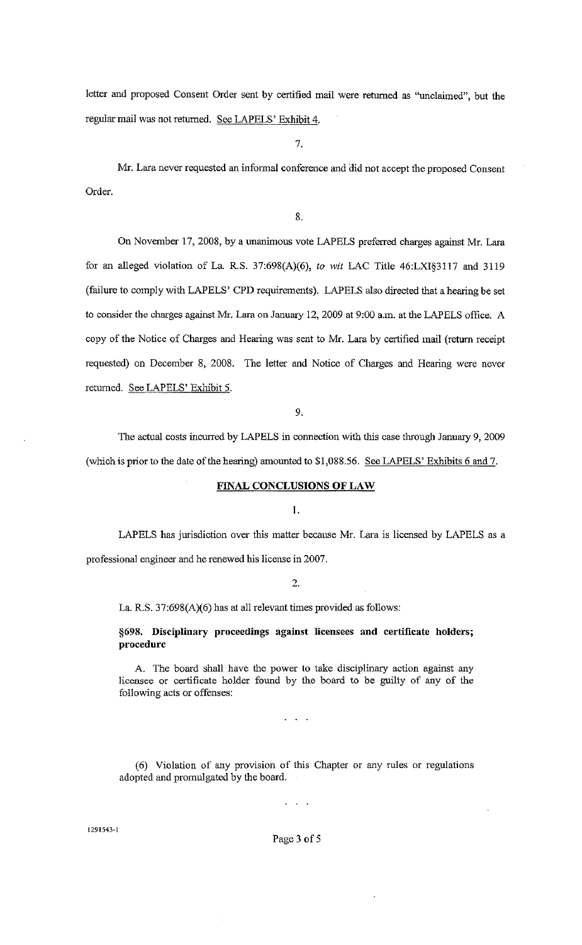letter and proposed Consent Order sent by certified mail were retnrned as "unclaimed", but the regular mail was not returned. See LAPELS' Exhibit 4.

7.

Mr. Lara never requested an informal conference and did not accept the proposed Consent Order.

8.

On November 17, 2008, by a unanimous vote LAPELS preferred charges against Mr. Lara for an alleged violation of La. R.S. 37:698(A)(6), *to wit* LAC Title 46:LXI§3117 and 3119 (failure to comply with LAPELS' CPD requirements). LAPELS also directed that a hearing be set to consider the charges against Mr. Lara on January 12, 2009 at 9:00 a.m. at the LAPELS office. A copy of the Notice of Charges and Hearing was sent to Mr. Lara by certified mail (return receipt requested) on December 8, 2008. The letter and Notice of Charges and Hearing were never retumed. See LAPELS' Exhibit 5.

9.

The actual costs incurred by LAPELS in connection with this case through January 9, 2009 (which is prior to the date of the hearing) amounted to \$1,088.56. See LAPELS' Exhibits 6 and 7.

## **FINAL CONCLUSIONS OF LAW**

**1.** 

LAPELS has jurisdiction over this matter because Mr. Lara is licensed by LAPELS as a professional engineer and he renewed his license in 2007.

#### 2.

La. R.S. 37:698(A)(6) has at all relevant times provided as follows:

**§698. Disciplinary proceedings against licensees and certificate holders; procedure** 

A. The board shall have the power to take disciplinary action against any licensee or certificate holder found by the board to be guilty of any of the following acts or offenses:

 $\sim 100$ 

(6) Violation of any provision of this Chapter or any rules or regulations adopted and promulgated by the board.

 $\sim 10^{-11}$ 

**1291543-1** 

Page 3 of 5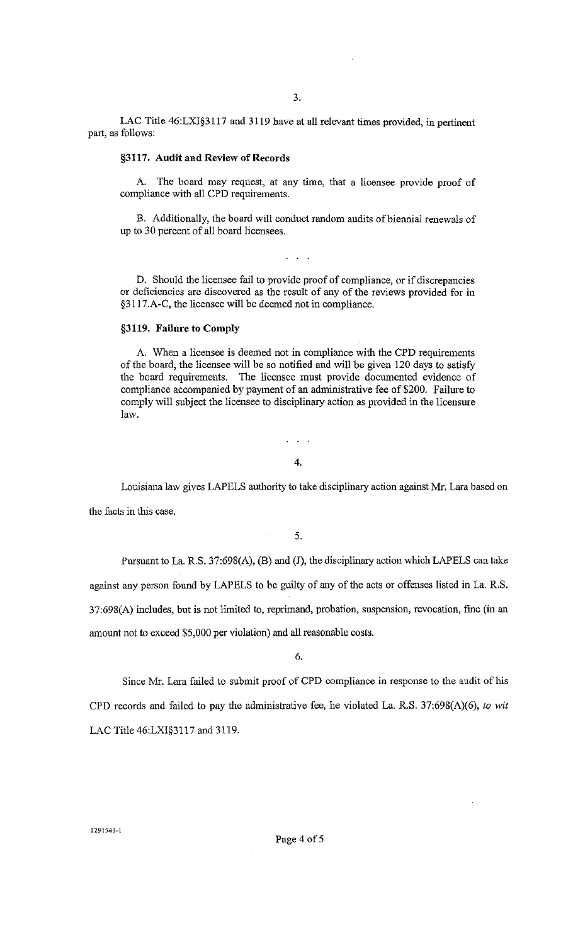LAC Title 46:LXI§3117 and 3119 have at all relevant times provided, in pertinent part, as follows:

## **§3117. Audit and Review of Records**

A. The board may request, at any time, that a licensee provide proof of compliance with all CPD requirements.

B. Additionally, the board will conduct random audits of biennial renewals of up to 30 percent of all board licensees.

 $\ddotsc$ 

D. Should the licensee fail to provide proof of compliance, or if discrepancies or deficiencies are discovered as the result of any of the reviews provided for in §3117.A-C, the licensee will be deemed not in compliance.

## **§3119. Failure to Comply**

A. When a licensee is deemed not **in** compliance with the CPD requirements of the board, the licensee will be so notified and will be given 120 days to satisfy the board requirements. The licensee must provide documented evidence of compliance accompanied by payment of an administrative fee of \$200. Failure to comply will subject the licensee to disciplinary action as provided in the licensure law.

4.

 $\sim$   $\sim$ 

Louisiana law gives LAPELS authority to take disciplinary action against Mr. Lara based on the facts in this case.

5.

 $\hat{\boldsymbol{\theta}}$ 

Pursuant to La. R.S. 37:698(A), (B) and **(J),** the disciplinary action which LAPELS can take against any person found by LAPELS to be guilty of any of the acts or offenses listed in La. R.S. 37:698(A) includes, but is not limited to, reprimand, probation, suspension, revocation, fine (in an amount not to exceed \$5,000 per violation) and all reasonable costs.

6.

Since Mr. Lara failed to submit proof of CPD compliance in response to the audit of his CPD records and failed to pay the administrative fee, he violated La. R.S. 37:698(A)(6), *to wit*  LAC Title 46:LXI§3117 and 3119.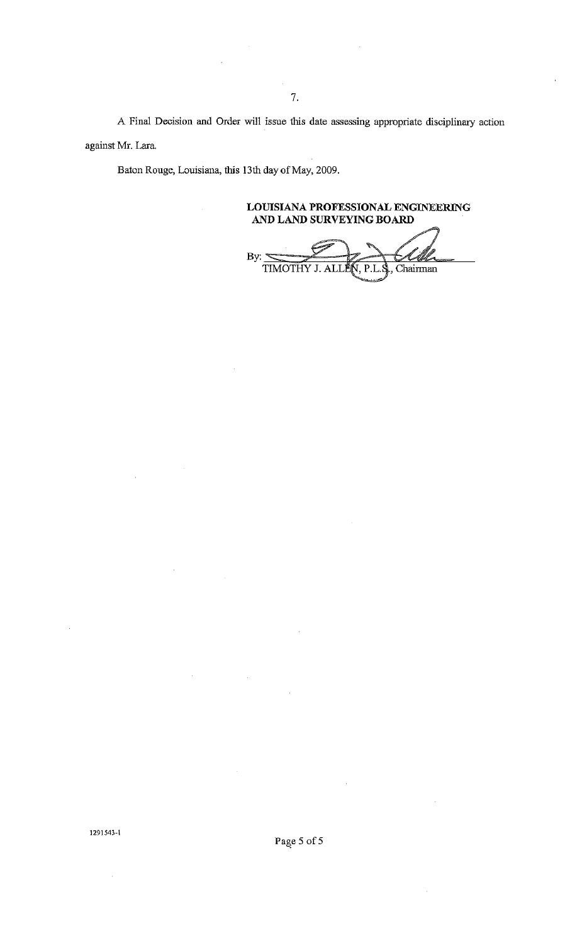A Final Decision and Order will issue this date assessing appropriate disciplinary action against Mr. Lara.

Baton Rouge, Louisiana, this 13th day of May, 2009.

**LOUISIANA PROFESSIONAL ENGINEERING AND LAND SURVEYING BOARD** 

By:  $\leq$ TIMOTHY J. ALI P.L.S., Chairman

1291543-1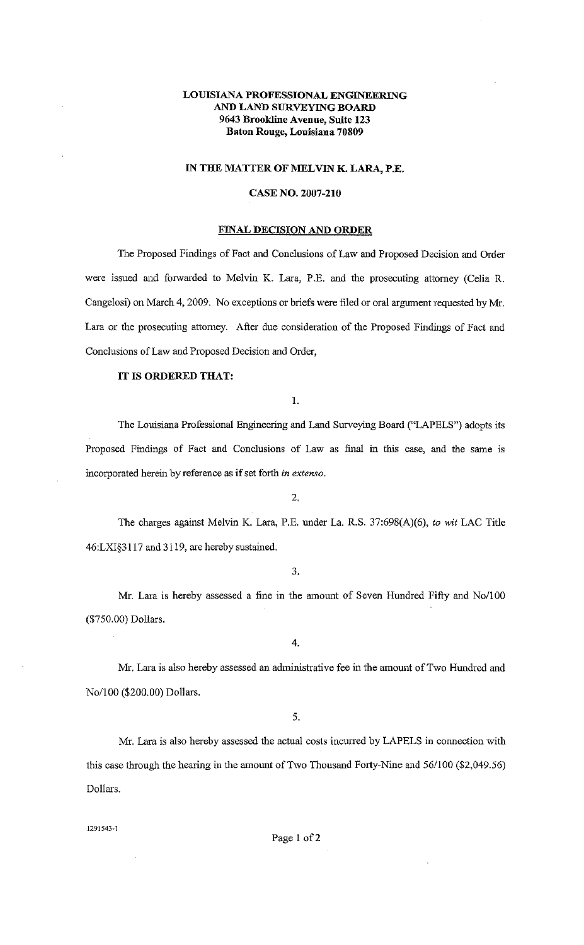# **LOUISIANA PROFESSIONAL ENGINEERING AND LAND SURVEYING BOARD 9643 Brookline Avenue, Suite 123 Baton Rouge, Louisiana 70809**

## **IN THE MATTER OF MELVIN K. LARA, P.E.**

### **CASE NO. 2007-210**

### **FINAL DECISION AND ORDER**

The Proposed Findings of Fact and Conclusions of Law and Proposed Decision and Order were issued and forwarded to Melvin K. Lara, P .E. and the prosecuting attomey (Celia R. Cangelosi) on March 4, 2009. No exceptions or briefs were filed or oral argument requested by Mr. Lara or the prosecuting attomey. After due consideration of the Proposed Findings of Fact and Conclusions of Law and Proposed Decision and Order,

# **IT IS ORDERED THAT:**

1.

The Louisiana Professional Engineering and Land Surveying Board ("LAPELS") adopts its Proposed Findings of Fact and Conclusions of Law as final in this case, and the same is incorporated herein by reference as if set forth *in extenso.* 

2.

The charges against Melvin K. Lara, P.E. under La. R.S. 37:698(A)(6), *to wit* LAC Title 46:LXI§3117 and 3119, are hereby sustained.

3.

Mr. Lara is hereby assessed a fine in the amount of Seven Hundred Fifty and No/100 (\$750.00) Dollars.

4.

Mr. Lara is also hereby assessed an administrative fee in the amount of Two Hundred and No/100 (\$200.00) Dollars.

5.

Mr. Lara is also hereby assessed the actual costs incurred by LAPELS in connection with this case through the hearing in the amount of Two Thousand Forty-Nine and 56/100 (\$2,049.56) Dollars.

1291543~1